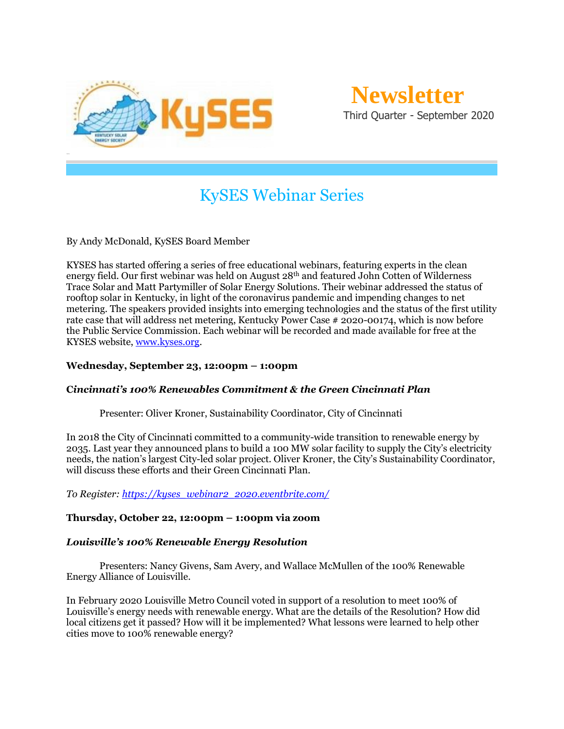

# KySES Webinar Series

By Andy McDonald, KySES Board Member

KYSES has started offering a series of free educational webinars, featuring experts in the clean energy field. Our first webinar was held on August 28th and featured John Cotten of Wilderness Trace Solar and Matt Partymiller of Solar Energy Solutions. Their webinar addressed the status of rooftop solar in Kentucky, in light of the coronavirus pandemic and impending changes to net metering. The speakers provided insights into emerging technologies and the status of the first utility rate case that will address net metering, Kentucky Power Case # 2020-00174, which is now before the Public Service Commission. Each webinar will be recorded and made available for free at the KYSES website, [www.kyses.org.](http://www.kyses.org/)

#### **Wednesday, September 23, 12:00pm – 1:00pm**

#### **C***incinnati's 100% Renewables Commitment & the Green Cincinnati Plan*

Presenter: Oliver Kroner, Sustainability Coordinator, City of Cincinnati

In 2018 the City of Cincinnati committed to a community-wide transition to renewable energy by 2035. Last year they announced plans to build a 100 MW solar facility to supply the City's electricity needs, the nation's largest City-led solar project. Oliver Kroner, the City's Sustainability Coordinator, will discuss these efforts and their Green Cincinnati Plan.

*To Register[: https://kyses\\_webinar2\\_2020.eventbrite.com/](https://kyses_webinar2_2020.eventbrite.com/)*

#### **Thursday, October 22, 12:00pm – 1:00pm via zoom**

#### *Louisville's 100% Renewable Energy Resolution*

Presenters: Nancy Givens, Sam Avery, and Wallace McMullen of the 100% Renewable Energy Alliance of Louisville.

In February 2020 Louisville Metro Council voted in support of a resolution to meet 100% of Louisville's energy needs with renewable energy. What are the details of the Resolution? How did local citizens get it passed? How will it be implemented? What lessons were learned to help other cities move to 100% renewable energy?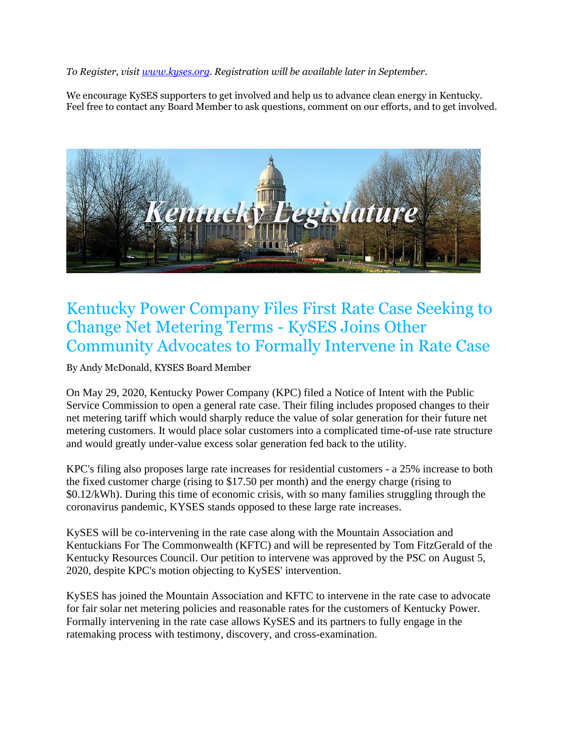*To Register, visit [www.kyses.org.](http://www.kyses.org/) Registration will be available later in September.*

We encourage KySES supporters to get involved and help us to advance clean energy in Kentucky. Feel free to contact any Board Member to ask questions, comment on our efforts, and to get involved.



## Kentucky Power Company Files First Rate Case Seeking to Change Net Metering Terms - KySES Joins Other Community Advocates to Formally Intervene in Rate Case

By Andy McDonald, KYSES Board Member

On May 29, 2020, Kentucky Power Company (KPC) filed a Notice of Intent with the Public Service Commission to open a general rate case. Their filing includes proposed changes to their net metering tariff which would sharply reduce the value of solar generation for their future net metering customers. It would place solar customers into a complicated time-of-use rate structure and would greatly under-value excess solar generation fed back to the utility.

KPC's filing also proposes large rate increases for residential customers - a 25% increase to both the fixed customer charge (rising to \$17.50 per month) and the energy charge (rising to \$0.12/kWh). During this time of economic crisis, with so many families struggling through the coronavirus pandemic, KYSES stands opposed to these large rate increases.

KySES will be co-intervening in the rate case along with the Mountain Association and Kentuckians For The Commonwealth (KFTC) and will be represented by Tom FitzGerald of the Kentucky Resources Council. Our petition to intervene was approved by the PSC on August 5, 2020, despite KPC's motion objecting to KySES' intervention.

KySES has joined the Mountain Association and KFTC to intervene in the rate case to advocate for fair solar net metering policies and reasonable rates for the customers of Kentucky Power. Formally intervening in the rate case allows KySES and its partners to fully engage in the ratemaking process with testimony, discovery, and cross-examination.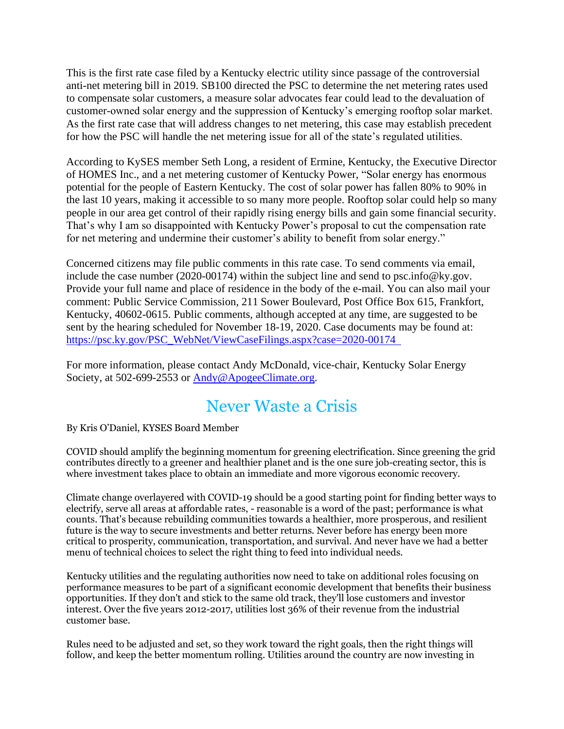This is the first rate case filed by a Kentucky electric utility since passage of the controversial anti-net metering bill in 2019. SB100 directed the PSC to determine the net metering rates used to compensate solar customers, a measure solar advocates fear could lead to the devaluation of customer-owned solar energy and the suppression of Kentucky's emerging rooftop solar market. As the first rate case that will address changes to net metering, this case may establish precedent for how the PSC will handle the net metering issue for all of the state's regulated utilities.

According to KySES member Seth Long, a resident of Ermine, Kentucky, the Executive Director of HOMES Inc., and a net metering customer of Kentucky Power, "Solar energy has enormous potential for the people of Eastern Kentucky. The cost of solar power has fallen 80% to 90% in the last 10 years, making it accessible to so many more people. Rooftop solar could help so many people in our area get control of their rapidly rising energy bills and gain some financial security. That's why I am so disappointed with Kentucky Power's proposal to cut the compensation rate for net metering and undermine their customer's ability to benefit from solar energy."

Concerned citizens may file public comments in this rate case. To send comments via email, include the case number (2020-00174) within the subject line and send to psc.info@ky.gov. Provide your full name and place of residence in the body of the e-mail. You can also mail your comment: Public Service Commission, 211 Sower Boulevard, Post Office Box 615, Frankfort, Kentucky, 40602-0615. Public comments, although accepted at any time, are suggested to be sent by the hearing scheduled for November 18-19, 2020. Case documents may be found at: [https://psc.ky.gov/PSC\\_WebNet/ViewCaseFilings.aspx?case=2020-00174](https://psc.ky.gov/PSC_WebNet/ViewCaseFilings.aspx?case=2020-00174) 

For more information, please contact Andy McDonald, vice-chair, Kentucky Solar Energy Society, at 502-699-2553 or [Andy@ApogeeClimate.org.](mailto:Andy@ApogeeClimate.org)

# Never Waste a Crisis

By Kris O'Daniel, KYSES Board Member

COVID should amplify the beginning momentum for greening electrification. Since greening the grid contributes directly to a greener and healthier planet and is the one sure job-creating sector, this is where investment takes place to obtain an immediate and more vigorous economic recovery.

Climate change overlayered with COVID-19 should be a good starting point for finding better ways to electrify, serve all areas at affordable rates, - reasonable is a word of the past; performance is what counts. That's because rebuilding communities towards a healthier, more prosperous, and resilient future is the way to secure investments and better returns. Never before has energy been more critical to prosperity, communication, transportation, and survival. And never have we had a better menu of technical choices to select the right thing to feed into individual needs.

Kentucky utilities and the regulating authorities now need to take on additional roles focusing on performance measures to be part of a significant economic development that benefits their business opportunities. If they don't and stick to the same old track, they'll lose customers and investor interest. Over the five years 2012-2017, utilities lost 36% of their revenue from the industrial customer base.

Rules need to be adjusted and set, so they work toward the right goals, then the right things will follow, and keep the better momentum rolling. Utilities around the country are now investing in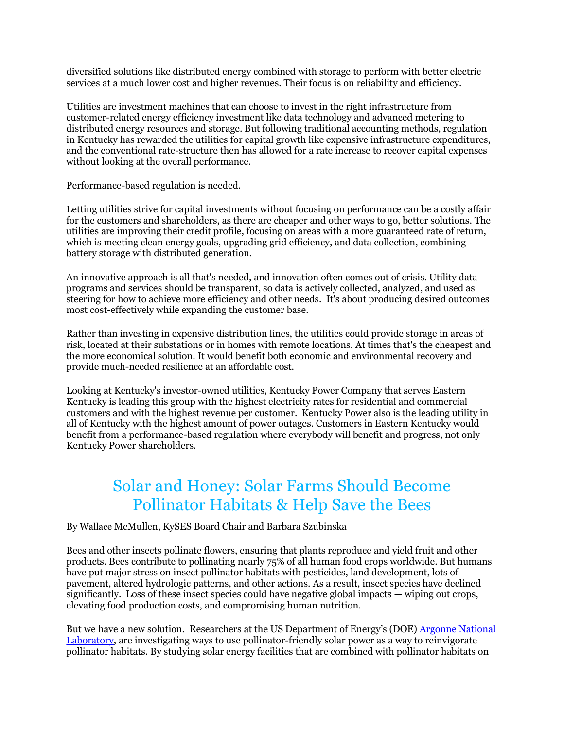diversified solutions like distributed energy combined with storage to perform with better electric services at a much lower cost and higher revenues. Their focus is on reliability and efficiency.

Utilities are investment machines that can choose to invest in the right infrastructure from customer-related energy efficiency investment like data technology and advanced metering to distributed energy resources and storage. But following traditional accounting methods, regulation in Kentucky has rewarded the utilities for capital growth like expensive infrastructure expenditures, and the conventional rate-structure then has allowed for a rate increase to recover capital expenses without looking at the overall performance.

Performance-based regulation is needed.

Letting utilities strive for capital investments without focusing on performance can be a costly affair for the customers and shareholders, as there are cheaper and other ways to go, better solutions. The utilities are improving their credit profile, focusing on areas with a more guaranteed rate of return, which is meeting clean energy goals, upgrading grid efficiency, and data collection, combining battery storage with distributed generation.

An innovative approach is all that's needed, and innovation often comes out of crisis. Utility data programs and services should be transparent, so data is actively collected, analyzed, and used as steering for how to achieve more efficiency and other needs. It's about producing desired outcomes most cost-effectively while expanding the customer base.

Rather than investing in expensive distribution lines, the utilities could provide storage in areas of risk, located at their substations or in homes with remote locations. At times that's the cheapest and the more economical solution. It would benefit both economic and environmental recovery and provide much-needed resilience at an affordable cost.

Looking at Kentucky's investor-owned utilities, Kentucky Power Company that serves Eastern Kentucky is leading this group with the highest electricity rates for residential and commercial customers and with the highest revenue per customer. Kentucky Power also is the leading utility in all of Kentucky with the highest amount of power outages. Customers in Eastern Kentucky would benefit from a performance-based regulation where everybody will benefit and progress, not only Kentucky Power shareholders.

## Solar and Honey: Solar Farms Should Become Pollinator Habitats & Help Save the Bees

By Wallace McMullen, KySES Board Chair and Barbara Szubinska

Bees and other insects pollinate flowers, ensuring that plants reproduce and yield fruit and other products. Bees contribute to pollinating nearly 75% of all human food crops worldwide. But humans have put major stress on insect pollinator habitats with pesticides, land development, lots of pavement, altered hydrologic patterns, and other actions. As a result, insect species have declined significantly. Loss of these insect species could have negative global impacts — wiping out crops, elevating food production costs, and compromising human nutrition.

But we have a new solution. Researchers at the US Department of Energy's (DOE) [Argonne National](https://phys.org/news/2018-08-solar-energy-bees.amp?utm_source=ACORE+Master+Mailing+List&utm_campaign=165540ca5b-EMAIL_CAMPAIGN_2018_08_01_02_38_COPY_01&utm_medium=email&utm_term=0_6ccfb2f247-165540ca5b-59344729&mc_cid=165540ca5b&mc_eid=71335ceee0&mc_cid=f41e7fad9b&mc_eid=24564ab9be)  [Laboratory,](https://phys.org/news/2018-08-solar-energy-bees.amp?utm_source=ACORE+Master+Mailing+List&utm_campaign=165540ca5b-EMAIL_CAMPAIGN_2018_08_01_02_38_COPY_01&utm_medium=email&utm_term=0_6ccfb2f247-165540ca5b-59344729&mc_cid=165540ca5b&mc_eid=71335ceee0&mc_cid=f41e7fad9b&mc_eid=24564ab9be) are investigating ways to use pollinator-friendly solar power as a way to reinvigorate pollinator habitats. By studying solar energy facilities that are combined with pollinator habitats on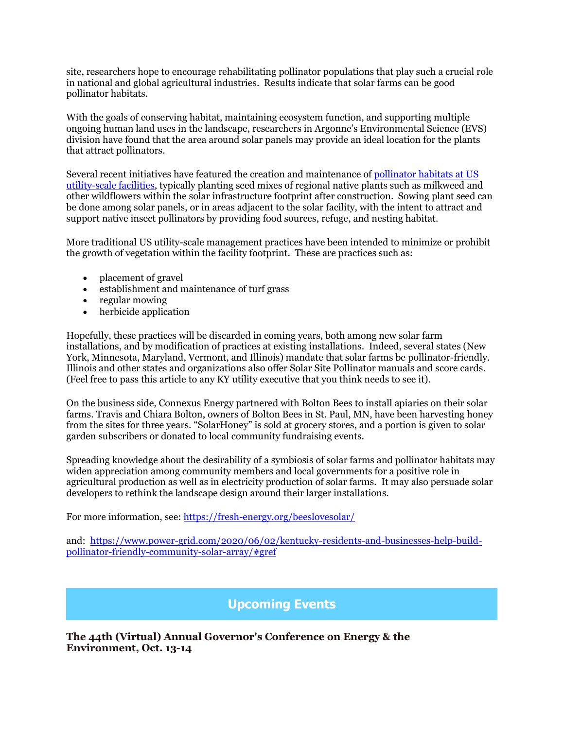site, researchers hope to encourage rehabilitating pollinator populations that play such a crucial role in national and global agricultural industries. Results indicate that solar farms can be good pollinator habitats.

With the goals of conserving habitat, maintaining ecosystem function, and supporting multiple ongoing human land uses in the landscape, researchers in Argonne's Environmental Science (EVS) division have found that the area around solar panels may provide an ideal location for the plants that attract pollinators.

Several recent initiatives have featured the creation and maintenance of [pollinator habitats at US](https://pubs.acs.org/doi/10.1021/acs.est.8b00020)  [utility-scale facilities,](https://pubs.acs.org/doi/10.1021/acs.est.8b00020) typically planting seed mixes of regional native plants such as milkweed and other wildflowers within the solar infrastructure footprint after construction. Sowing plant seed can be done among solar panels, or in areas adjacent to the solar facility, with the intent to attract and support native insect pollinators by providing food sources, refuge, and nesting habitat.

More traditional US utility-scale management practices have been intended to minimize or prohibit the growth of vegetation within the facility footprint. These are practices such as:

- placement of gravel
- establishment and maintenance of turf grass
- regular mowing
- herbicide application

Hopefully, these practices will be discarded in coming years, both among new solar farm installations, and by modification of practices at existing installations. Indeed, several states (New York, Minnesota, Maryland, Vermont, and Illinois) mandate that solar farms be pollinator-friendly. Illinois and other states and organizations also offer Solar Site Pollinator manuals and score cards. (Feel free to pass this article to any KY utility executive that you think needs to see it).

On the business side, Connexus Energy partnered with Bolton Bees to install apiaries on their solar farms. Travis and Chiara Bolton, owners of Bolton Bees in St. Paul, MN, have been harvesting honey from the sites for three years. "SolarHoney" is sold at grocery stores, and a portion is given to solar garden subscribers or donated to local community fundraising events.

Spreading knowledge about the desirability of a symbiosis of solar farms and pollinator habitats may widen appreciation among community members and local governments for a positive role in agricultural production as well as in electricity production of solar farms. It may also persuade solar developers to rethink the landscape design around their larger installations.

For more information, see:<https://fresh-energy.org/beeslovesolar/>

and: [https://www.power-grid.com/2020/06/02/kentucky-residents-and-businesses-help-build](https://www.power-grid.com/2020/06/02/kentucky-residents-and-businesses-help-build-pollinator-friendly-community-solar-array/#gref)[pollinator-friendly-community-solar-array/#gref](https://www.power-grid.com/2020/06/02/kentucky-residents-and-businesses-help-build-pollinator-friendly-community-solar-array/#gref)

### **Upcoming Events**

**The 44th (Virtual) Annual Governor's Conference on Energy & the Environment, Oct. 13-14**